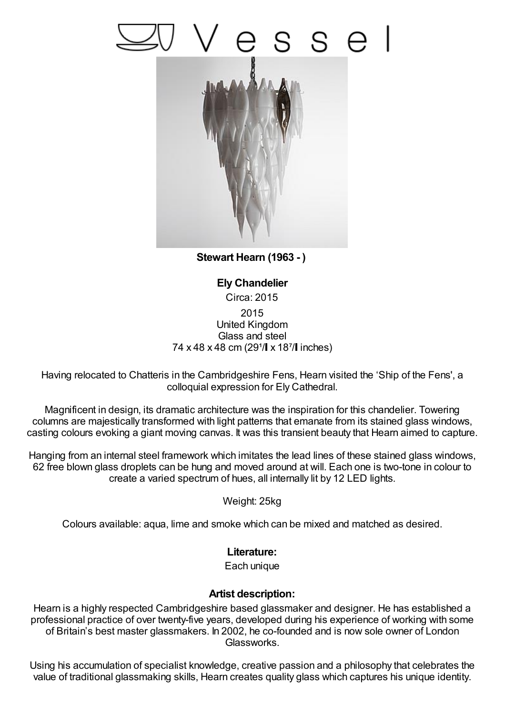## s e



**Stewart Hearn (1963 - )**

**Ely Chandelier** Circa: 2015 2015 United Kingdom Glass and steel 74 x 48 x 48 cm (29<sup>1</sup>/ x 18<sup>7</sup>/ inches)

Having relocated to Chatteris in the Cambridgeshire Fens, Hearn visited the 'Ship of the Fens', a colloquial expression for Ely Cathedral.

Magnificent in design, its dramatic architecture was the inspiration for this chandelier. Towering columns are majestically transformed with light patterns that emanate from its stained glass windows, casting colours evoking a giant moving canvas. It was this transient beauty that Hearn aimed to capture.

Hanging from an internal steel framework which imitates the lead lines of these stained glass windows, 62 free blown glass droplets can be hung and moved around at will. Each one is two-tone in colour to create a varied spectrum of hues, all internally lit by 12 LED lights.

Weight: 25kg

Colours available: aqua, lime and smoke which can be mixed and matched as desired.

## **Literature:**

Each unique

## **Artist description:**

Hearn is a highly respected Cambridgeshire based glassmaker and designer. He has established a professional practice of over twenty-five years, developed during his experience of working with some of Britain's best master glassmakers. In 2002, he co-founded and is now sole owner of London Glassworks.

Using his accumulation of specialist knowledge, creative passion and a philosophy that celebrates the value of traditional glassmaking skills, Hearn creates quality glass which captures his unique identity.